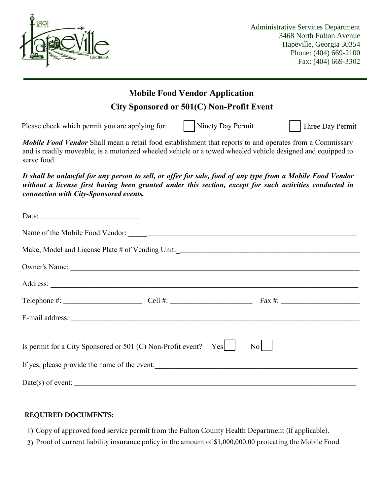

## **Mobile Food Vendor Application** *Mobile Food Vendor* Shall mean a retail food establishment that reports to and operates from a Commissary and is readily moveable, is a motorized wheeled vehicle or a towed wheeled vehicle designed and equipped to serve food. Ï Date: Name of the Mobile Food Vendor: \_\_\_\_\_\_\_\_\_\_\_\_\_\_\_\_\_\_\_\_\_\_\_\_\_\_\_\_\_\_\_\_\_\_\_\_\_\_\_\_\_\_\_\_\_\_\_\_\_\_\_\_\_\_\_\_\_\_\_\_\_ Make, Model and License Plate # of Vending Unit:\_\_\_\_\_\_\_\_\_\_\_\_\_\_\_\_\_\_\_\_\_\_\_\_\_\_\_\_\_\_\_\_\_\_\_\_\_\_\_\_\_\_\_\_\_\_\_\_\_ Owner's Name: \_\_\_\_\_\_\_\_\_\_\_\_\_\_\_\_\_\_\_\_\_\_\_\_\_\_\_\_\_\_\_\_\_\_\_\_\_\_\_\_\_\_\_\_\_\_\_\_\_\_\_\_\_\_\_\_\_\_\_\_\_\_\_\_\_\_\_\_\_\_\_\_\_\_\_\_\_ Address: Telephone  $\#$ :  $\qquad \qquad \text{Cell } #$ :  $\qquad \qquad \text{Fax } #$ : E-mail address: \_\_\_\_\_\_\_\_\_\_\_\_\_\_\_\_\_\_\_\_\_\_\_\_\_\_\_\_\_\_\_\_\_\_\_\_\_\_\_\_\_\_\_\_\_\_\_\_\_\_\_\_\_\_\_\_\_\_\_\_\_\_\_\_\_\_\_\_\_\_\_\_\_\_\_\_\_ *It shall be unlawful for any person to sell, or offer for sale, food of any type from a Mobile Food Vendor without a license first having been granted under this section, except for such activities conducted in connection with City-Sponsored events.* Please check which permit you are applying for:  $\vert$  Ninety Day Permit Three Day Permit Is permit for a City Sponsored or 501 (C) Non-Profit event? Yes  $\begin{bmatrix} N_{\text{O}} & N_{\text{O}} & N_{\text{O}} \end{bmatrix}$ If yes, please provide the name of the event:  $Date(s)$  of event:  $\overline{\phantom{a}}$ **City Sponsored or 501(C) Non-Profit Event**

## **REQUIRED DOCUMENTS:**

- 1) Copy of approved food service permit from the Fulton County Health Department (if applicable).
- 2) Proof of current liability insurance policy in the amount of \$1,000,000.00 protecting the Mobile Food